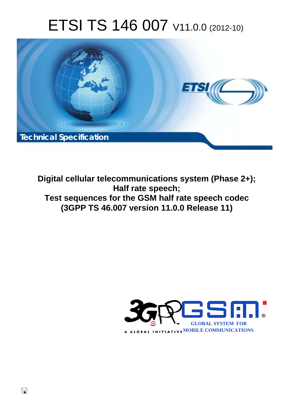# ETSI TS 146 007 V11.0.0 (2012-10)



**Digital cellular telecommunications system (Phase 2+); Half rate speech; Test sequences for the GSM half rate speech codec (3GPP TS 46.007 version 11.0.0 Release 11)** 

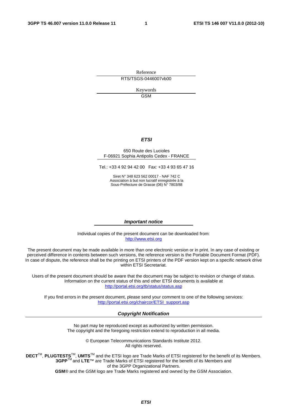Reference RTS/TSGS-0446007vb00

> Keywords GSM

#### *ETSI*

#### 650 Route des Lucioles F-06921 Sophia Antipolis Cedex - FRANCE

Tel.: +33 4 92 94 42 00 Fax: +33 4 93 65 47 16

Siret N° 348 623 562 00017 - NAF 742 C Association à but non lucratif enregistrée à la Sous-Préfecture de Grasse (06) N° 7803/88

#### *Important notice*

Individual copies of the present document can be downloaded from: [http://www.etsi.org](http://www.etsi.org/)

The present document may be made available in more than one electronic version or in print. In any case of existing or perceived difference in contents between such versions, the reference version is the Portable Document Format (PDF). In case of dispute, the reference shall be the printing on ETSI printers of the PDF version kept on a specific network drive within ETSI Secretariat.

Users of the present document should be aware that the document may be subject to revision or change of status. Information on the current status of this and other ETSI documents is available at <http://portal.etsi.org/tb/status/status.asp>

If you find errors in the present document, please send your comment to one of the following services: [http://portal.etsi.org/chaircor/ETSI\\_support.asp](http://portal.etsi.org/chaircor/ETSI_support.asp)

#### *Copyright Notification*

No part may be reproduced except as authorized by written permission. The copyright and the foregoing restriction extend to reproduction in all media.

> © European Telecommunications Standards Institute 2012. All rights reserved.

DECT<sup>™</sup>, PLUGTESTS<sup>™</sup>, UMTS<sup>™</sup> and the ETSI logo are Trade Marks of ETSI registered for the benefit of its Members. **3GPP**TM and **LTE**™ are Trade Marks of ETSI registered for the benefit of its Members and of the 3GPP Organizational Partners.

**GSM**® and the GSM logo are Trade Marks registered and owned by the GSM Association.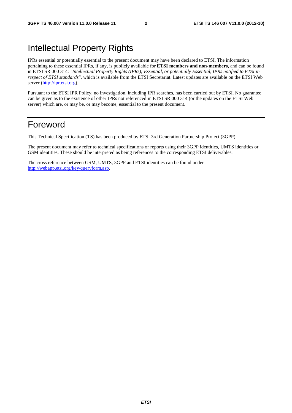## Intellectual Property Rights

IPRs essential or potentially essential to the present document may have been declared to ETSI. The information pertaining to these essential IPRs, if any, is publicly available for **ETSI members and non-members**, and can be found in ETSI SR 000 314: *"Intellectual Property Rights (IPRs); Essential, or potentially Essential, IPRs notified to ETSI in respect of ETSI standards"*, which is available from the ETSI Secretariat. Latest updates are available on the ETSI Web server ([http://ipr.etsi.org\)](http://webapp.etsi.org/IPR/home.asp).

Pursuant to the ETSI IPR Policy, no investigation, including IPR searches, has been carried out by ETSI. No guarantee can be given as to the existence of other IPRs not referenced in ETSI SR 000 314 (or the updates on the ETSI Web server) which are, or may be, or may become, essential to the present document.

## Foreword

This Technical Specification (TS) has been produced by ETSI 3rd Generation Partnership Project (3GPP).

The present document may refer to technical specifications or reports using their 3GPP identities, UMTS identities or GSM identities. These should be interpreted as being references to the corresponding ETSI deliverables.

The cross reference between GSM, UMTS, 3GPP and ETSI identities can be found under [http://webapp.etsi.org/key/queryform.asp.](http://webapp.etsi.org/key/queryform.asp)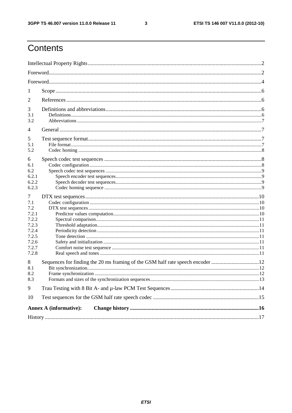$\mathbf{3}$ 

## Contents

| 1                                                                                       |                                                                                |  |
|-----------------------------------------------------------------------------------------|--------------------------------------------------------------------------------|--|
| 2                                                                                       |                                                                                |  |
| 3<br>3.1<br>3.2                                                                         |                                                                                |  |
| 4                                                                                       |                                                                                |  |
| 5<br>5.1<br>5.2                                                                         |                                                                                |  |
| 6<br>6.1<br>6.2<br>6.2.1<br>6.2.2<br>6.2.3                                              |                                                                                |  |
| 7<br>7.1<br>7.2<br>7.2.1<br>7.2.2<br>7.2.3<br>7.2.4<br>7.2.5<br>7.2.6<br>7.2.7<br>7.2.8 |                                                                                |  |
| 8<br>8.1<br>8.2<br>8.3                                                                  | Sequences for finding the 20 ms framing of the GSM half rate speech encoder 12 |  |
| 9                                                                                       |                                                                                |  |
| 10                                                                                      |                                                                                |  |
|                                                                                         | <b>Annex A (informative):</b>                                                  |  |
|                                                                                         |                                                                                |  |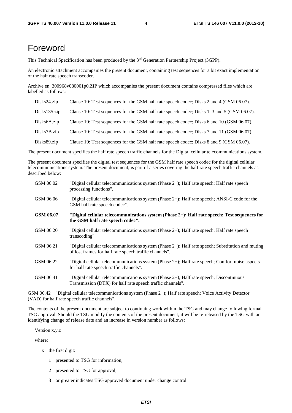## Foreword

This Technical Specification has been produced by the 3<sup>rd</sup> Generation Partnership Project (3GPP).

An electronic attachment accompanies the present document, containing test sequences for a bit exact implementation of the half rate speech transcoder.

Archive en\_300968v080001p0.ZIP which accompanies the present document contains compressed files which are labelled as follows:

| Disks24.zip               | Clause 10: Test sequences for the GSM half rate speech codec; Disks 2 and 4 (GSM 06.07).    |
|---------------------------|---------------------------------------------------------------------------------------------|
| $Disks135.\overline{zip}$ | Clause 10: Test sequences for the GSM half rate speech codec; Disks 1, 3 and 5 (GSM 06.07). |
| Disks6A.zip               | Clause 10: Test sequences for the GSM half rate speech codec; Disks 6 and 10 (GSM 06.07).   |
| Disks7B.zip               | Clause 10: Test sequences for the GSM half rate speech codec; Disks 7 and 11 (GSM 06.07).   |
| Disks89.zip               | Clause 10: Test sequences for the GSM half rate speech codec; Disks 8 and 9 (GSM 06.07).    |

The present document specifies the half rate speech traffic channels for the Digital cellular telecommunications system.

The present document specifies the digital test sequences for the GSM half rate speech codec for the digital cellular telecommunications system. The present document, is part of a series covering the half rate speech traffic channels as described below:

| GSM 06.02 | "Digital cellular telecommunications system (Phase 2+); Half rate speech; Half rate speech<br>processing functions".                                        |
|-----------|-------------------------------------------------------------------------------------------------------------------------------------------------------------|
| GSM 06.06 | "Digital cellular telecommunications system (Phase $2+$ ); Half rate speech; ANSI-C code for the<br>GSM half rate speech codec".                            |
| GSM 06.07 | "Digital cellular telecommunications system (Phase 2+); Half rate speech; Test sequences for<br>the GSM half rate speech codec".                            |
| GSM 06.20 | "Digital cellular telecommunications system (Phase 2+); Half rate speech; Half rate speech<br>transcoding".                                                 |
| GSM 06.21 | "Digital cellular telecommunications system (Phase 2+); Half rate speech; Substitution and muting<br>of lost frames for half rate speech traffic channels". |
| GSM 06.22 | "Digital cellular telecommunications system (Phase 2+); Half rate speech; Comfort noise aspects<br>for half rate speech traffic channels".                  |
| GSM 06.41 | "Digital cellular telecommunications system (Phase 2+); Half rate speech; Discontinuous<br>Transmission (DTX) for half rate speech traffic channels".       |

GSM 06.42 "Digital cellular telecommunications system (Phase 2+); Half rate speech; Voice Activity Detector (VAD) for half rate speech traffic channels".

The contents of the present document are subject to continuing work within the TSG and may change following formal TSG approval. Should the TSG modify the contents of the present document, it will be re-released by the TSG with an identifying change of release date and an increase in version number as follows:

Version x.y.z

where:

- x the first digit:
	- 1 presented to TSG for information;
	- 2 presented to TSG for approval;
	- 3 or greater indicates TSG approved document under change control.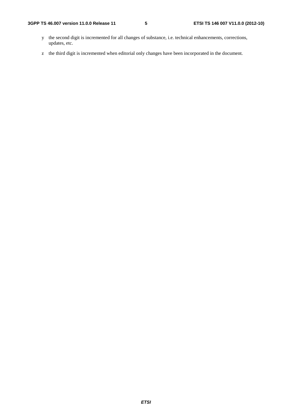- y the second digit is incremented for all changes of substance, i.e. technical enhancements, corrections, updates, etc.
- z the third digit is incremented when editorial only changes have been incorporated in the document.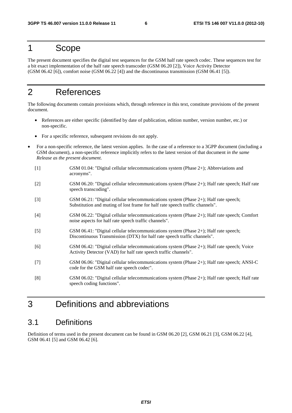## 1 Scope

The present document specifies the digital test sequences for the GSM half rate speech codec. These sequences test for a bit exact implementation of the half rate speech transcoder (GSM 06.20 [2]), Voice Activity Detector (GSM 06.42 [6]), comfort noise (GSM 06.22 [4]) and the discontinuous transmission (GSM 06.41 [5]).

## 2 References

The following documents contain provisions which, through reference in this text, constitute provisions of the present document.

- References are either specific (identified by date of publication, edition number, version number, etc.) or non-specific.
- For a specific reference, subsequent revisions do not apply.
- For a non-specific reference, the latest version applies. In the case of a reference to a 3GPP document (including a GSM document), a non-specific reference implicitly refers to the latest version of that document *in the same Release as the present document*.
	- [1] GSM 01.04: "Digital cellular telecommunications system (Phase 2+); Abbreviations and acronyms".
	- [2] GSM 06.20: "Digital cellular telecommunications system (Phase 2+); Half rate speech; Half rate speech transcoding".
	- [3] GSM 06.21: "Digital cellular telecommunications system (Phase 2+); Half rate speech; Substitution and muting of lost frame for half rate speech traffic channels".
	- [4] GSM 06.22: "Digital cellular telecommunications system (Phase 2+); Half rate speech; Comfort noise aspects for half rate speech traffic channels".
	- [5] GSM 06.41: "Digital cellular telecommunications system (Phase 2+); Half rate speech; Discontinuous Transmission (DTX) for half rate speech traffic channels".
	- [6] GSM 06.42: "Digital cellular telecommunications system (Phase 2+); Half rate speech; Voice Activity Detector (VAD) for half rate speech traffic channels".
	- [7] GSM 06.06: "Digital cellular telecommunications system (Phase 2+); Half rate speech; ANSI-C code for the GSM half rate speech codec".
	- [8] GSM 06.02: "Digital cellular telecommunications system (Phase 2+); Half rate speech; Half rate speech coding functions".

## 3 Definitions and abbreviations

## 3.1 Definitions

Definition of terms used in the present document can be found in GSM 06.20 [2], GSM 06.21 [3], GSM 06.22 [4], GSM 06.41 [5] and GSM 06.42 [6].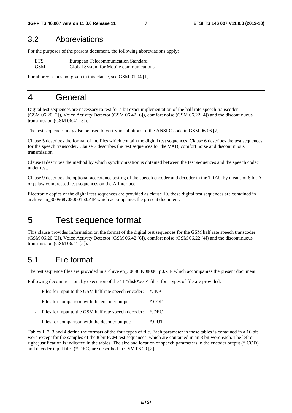### 3.2 Abbreviations

For the purposes of the present document, the following abbreviations apply:

| <b>ETS</b> | European Telecommunication Standard     |
|------------|-----------------------------------------|
| <b>GSM</b> | Global System for Mobile communications |

For abbreviations not given in this clause, see GSM 01.04 [1].

## 4 General

Digital test sequences are necessary to test for a bit exact implementation of the half rate speech transcoder (GSM 06.20 [2]), Voice Activity Detector (GSM 06.42 [6]), comfort noise (GSM 06.22 [4]) and the discontinuous transmission (GSM 06.41 [5]).

The test sequences may also be used to verify installations of the ANSI C code in GSM 06.06 [7].

Clause 5 describes the format of the files which contain the digital test sequences. Clause 6 describes the test sequences for the speech transcoder. Clause 7 describes the test sequences for the VAD, comfort noise and discontinuous transmission.

Clause 8 describes the method by which synchronization is obtained between the test sequences and the speech codec under test.

Clause 9 describes the optional acceptance testing of the speech encoder and decoder in the TRAU by means of 8 bit Aor μ-law compressed test sequences on the A-Interface.

Electronic copies of the digital test sequences are provided as clause 10, these digital test sequences are contained in archive en\_300968v080001p0.ZIP which accompanies the present document.

## 5 Test sequence format

This clause provides information on the format of the digital test sequences for the GSM half rate speech transcoder (GSM 06.20 [2]), Voice Activity Detector (GSM 06.42 [6]), comfort noise (GSM 06.22 [4]) and the discontinuous transmission (GSM 06.41 [5]).

## 5.1 File format

The test sequence files are provided in archive en  $300968v080001p0.ZIP$  which accompanies the present document.

Following decompression, by execution of the 11 "disk\*.exe" files, four types of file are provided:

- Files for input to the GSM half rate speech encoder: \*.INP
- Files for comparison with the encoder output: \*.COD
- Files for input to the GSM half rate speech decoder: \*.DEC
- Files for comparison with the decoder output: \*. OUT

Tables 1, 2, 3 and 4 define the formats of the four types of file. Each parameter in these tables is contained in a 16 bit word except for the samples of the 8 bit PCM test sequences, which are contained in an 8 bit word each. The left or right justification is indicated in the tables. The size and location of speech parameters in the encoder output (\*.COD) and decoder input files (\*.DEC) are described in GSM 06.20 [2].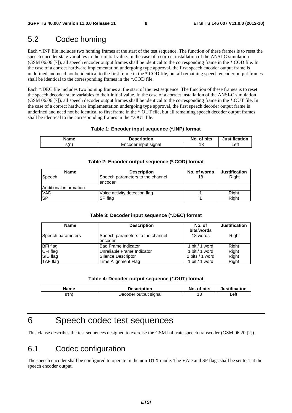## 5.2 Codec homing

Each \*.INP file includes two homing frames at the start of the test sequence. The function of these frames is to reset the speech encoder state variables to their initial value. In the case of a correct installation of the ANSI-C simulation (GSM 06.06 [7]), all speech encoder output frames shall be identical to the corresponding frame in the \*.COD file. In the case of a correct hardware implementation undergoing type approval, the first speech encoder output frame is undefined and need not be identical to the first frame in the \*.COD file, but all remaining speech encoder output frames shall be identical to the corresponding frames in the \*.COD file.

Each \*.DEC file includes two homing frames at the start of the test sequence. The function of these frames is to reset the speech decoder state variables to their initial value. In the case of a correct installation of the ANSI-C simulation (GSM 06.06 [7]), all speech decoder output frames shall be identical to the corresponding frame in the \*.OUT file. In the case of a correct hardware implementation undergoing type approval, the first speech decoder output frame is undefined and need not be identical to first frame in the \*.OUT file, but all remaining speech decoder output frames shall be identical to the corresponding frames in the \*.OUT file.

#### **Table 1: Encoder input sequence (\*.INP) format**

| Name | <b>Description</b>   | of bits<br>No. | <b>Justification</b> |  |
|------|----------------------|----------------|----------------------|--|
| s(n) | Encoder input signal | . .            | _eft                 |  |

#### **Table 2: Encoder output sequence (\*.COD) format**

| <b>Name</b>            | <b>Description</b>                          | No. of words | <b>Justification</b> |  |  |  |
|------------------------|---------------------------------------------|--------------|----------------------|--|--|--|
| Speech                 | Speech parameters to the channel<br>encoder | 18           | Right                |  |  |  |
| Additional information |                                             |              |                      |  |  |  |
| <b>VAD</b>             | Voice activity detection flag               |              | Right                |  |  |  |
| <b>SP</b>              | SP flag                                     |              | Right                |  |  |  |

#### **Table 3: Decoder input sequence (\*.DEC) format**

| <b>Name</b>       | <b>Description</b>                          | No. of                 | <b>Justification</b> |
|-------------------|---------------------------------------------|------------------------|----------------------|
| Speech parameters | Speech parameters to the channel<br>encoder | bits/words<br>18 words | Right                |
| <b>BFI</b> flag   | <b>Bad Frame Indicator</b>                  | 1 bit / 1 word         | Right                |
| UFI flag          | Unreliable Frame Indicator                  | 1 bit / 1 word         | Right                |
| SID flag          | Silence Descriptor                          | 2 bits / 1 word        | Right                |
| <b>TAF</b> flag   | Time Alignment Flag                         | 1 bit / 1 word         | Right                |

#### **Table 4: Decoder output sequence (\*.OUT) format**

| Name  | Description               | of bits<br>No. | <b>lustification</b> |  |
|-------|---------------------------|----------------|----------------------|--|
| }'(n` | ∵output siɑnal<br>Decoder | $\sim$<br>~    | Left                 |  |

## 6 Speech codec test sequences

This clause describes the test sequences designed to exercise the GSM half rate speech transcoder (GSM 06.20 [2]).

## 6.1 Codec configuration

The speech encoder shall be configured to operate in the non-DTX mode. The VAD and SP flags shall be set to 1 at the speech encoder output.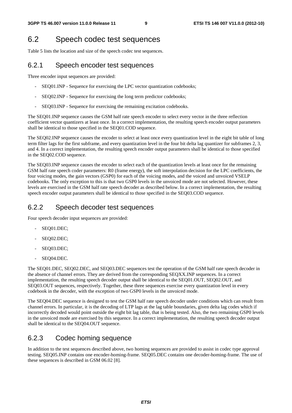## 6.2 Speech codec test sequences

Table 5 lists the location and size of the speech codec test sequences.

#### 6.2.1 Speech encoder test sequences

Three encoder input sequences are provided:

- SEQ01.INP Sequence for exercising the LPC vector quantization codebooks;
- SEQ02.INP Sequence for exercising the long term predictor codebooks;
- SEQ03.INP Sequence for exercising the remaining excitation codebooks.

The SEQ01.INP sequence causes the GSM half rate speech encoder to select every vector in the three reflection coefficient vector quantizers at least once. In a correct implementation, the resulting speech encoder output parameters shall be identical to those specified in the SEQ01.COD sequence.

The SEQ02.INP sequence causes the encoder to select at least once every quantization level in the eight bit table of long term filter lags for the first subframe, and every quantization level in the four bit delta lag quantizer for subframes 2, 3, and 4. In a correct implementation, the resulting speech encoder output parameters shall be identical to those specified in the SEQ02.COD sequence.

The SEQ03.INP sequence causes the encoder to select each of the quantization levels at least once for the remaining GSM half rate speech coder parameters: R0 (frame energy), the soft interpolation decision for the LPC coefficients, the four voicing modes, the gain vectors (GSP0) for each of the voicing modes, and the voiced and unvoiced VSELP codebooks. The only exception to this is that two GSP0 levels in the unvoiced mode are not selected. However, these levels are exercised in the GSM half rate speech decoder as described below. In a correct implementation, the resulting speech encoder output parameters shall be identical to those specified in the SEO03.COD sequence.

#### 6.2.2 Speech decoder test sequences

Four speech decoder input sequences are provided:

- SEQ01.DEC;
- SEQ02.DEC;
- SEQ03.DEC;
- SEQ04.DEC.

The SEQ01.DEC, SEQ02.DEC, and SEQ03.DEC sequences test the operation of the GSM half rate speech decoder in the absence of channel errors. They are derived from the corresponding SEQXX.INP sequences. In a correct implementation, the resulting speech decoder output shall be identical to the SEQ01.OUT, SEQ02.OUT, and SEQ03.OUT sequences, respectively. Together, these three sequences exercise every quantization level in every codebook in the decoder, with the exception of two GSP0 levels in the unvoiced mode.

The SEQ04.DEC sequence is designed to test the GSM half rate speech decoder under conditions which can result from channel errors. In particular, it is the decoding of LTP lags at the lag table boundaries, given delta lag codes which if incorrectly decoded would point outside the eight bit lag table, that is being tested. Also, the two remaining GSP0 levels in the unvoiced mode are exercised by this sequence. In a correct implementation, the resulting speech decoder output shall be identical to the SEQ04.OUT sequence.

#### 6.2.3 Codec homing sequence

In addition to the test sequences described above, two homing sequences are provided to assist in codec type approval testing. SEQ05.INP contains one encoder-homing-frame. SEQ05.DEC contains one decoder-homing-frame. The use of these sequences is described in GSM 06.02 [8].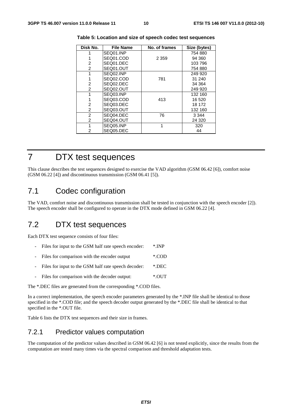| Disk No. | <b>File Name</b> | No. of frames | Size (bytes) |
|----------|------------------|---------------|--------------|
|          | SEQ01.INP        |               | 754 880      |
|          | SEQ01.COD        | 2 3 5 9       | 94 360       |
| 2        | SEQ01.DEC        |               | 103796       |
| 2        | SEQ01.OUT        |               | 754 880      |
| 1        | SEQ02.INP        |               | 249 920      |
|          | SEQ02.COD        | 781           | 31 240       |
| 2        | SEQ02.DEC        |               | 34 364       |
| 2        | SEQ02.OUT        |               | 249 920      |
|          | SEQ03.INP        |               | 132 160      |
|          | SEQ03.COD        | 413           | 16 520       |
| 2        | SEQ03.DEC        |               | 18 172       |
| 2        | SEQ03.OUT        |               | 132 160      |
| 2        | SEQ04.DEC        | 76            | 3 3 4 4      |
| 2        | SEQ04.OUT        |               | 24 3 20      |
| 1        | SEQ05.INP        | 1             | 320          |
| 2        | SEQ05.DEC        |               | 44           |

**Table 5: Location and size of speech codec test sequences** 

## 7 DTX test sequences

This clause describes the test sequences designed to exercise the VAD algorithm (GSM 06.42 [6]), comfort noise (GSM 06.22 [4]) and discontinuous transmission (GSM 06.41 [5]).

## 7.1 Codec configuration

The VAD, comfort noise and discontinuous transmission shall be tested in conjunction with the speech encoder [2]). The speech encoder shall be configured to operate in the DTX mode defined in GSM 06.22 [4].

## 7.2 DTX test sequences

Each DTX test sequence consists of four files:

- Files for input to the GSM half rate speech encoder: \*.INP
- Files for comparison with the encoder output \*.COD
- Files for input to the GSM half rate speech decoder: \*.DEC
- Files for comparison with the decoder output: \*. OUT

The \*.DEC files are generated from the corresponding \*.COD files.

In a correct implementation, the speech encoder parameters generated by the \*.INP file shall be identical to those specified in the \*.COD file; and the speech decoder output generated by the \*.DEC file shall be identical to that specified in the \*.OUT file.

Table 6 lists the DTX test sequences and their size in frames.

#### 7.2.1 Predictor values computation

The computation of the predictor values described in GSM 06.42 [6] is not tested explicitly, since the results from the computation are tested many times via the spectral comparison and threshold adaptation tests.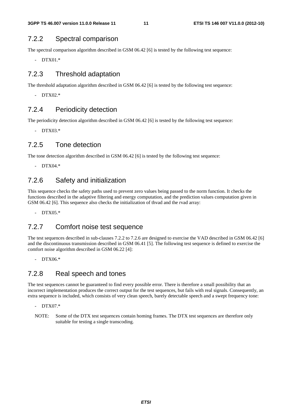#### 7.2.2 Spectral comparison

The spectral comparison algorithm described in GSM 06.42 [6] is tested by the following test sequence:

- DTX01.\*

#### 7.2.3 Threshold adaptation

The threshold adaptation algorithm described in GSM 06.42 [6] is tested by the following test sequence:

 $-$  DTX02 $*$ 

#### 7.2.4 Periodicity detection

The periodicity detection algorithm described in GSM 06.42 [6] is tested by the following test sequence:

- DTX03.\*

#### 7.2.5 Tone detection

The tone detection algorithm described in GSM 06.42 [6] is tested by the following test sequence:

- DTX04.\*

### 7.2.6 Safety and initialization

This sequence checks the safety paths used to prevent zero values being passed to the norm function. It checks the functions described in the adaptive filtering and energy computation, and the prediction values computation given in GSM 06.42 [6]. This sequence also checks the initialization of thvad and the rvad array:

- DTX05.\*

#### 7.2.7 Comfort noise test sequence

The test sequences described in sub-clauses 7.2.2 to 7.2.6 are designed to exercise the VAD described in GSM 06.42 [6] and the discontinuous transmission described in GSM 06.41 [5]. The following test sequence is defined to exercise the comfort noise algorithm described in GSM 06.22 [4]:

- DTX06.\*

#### 7.2.8 Real speech and tones

The test sequences cannot be guaranteed to find every possible error. There is therefore a small possibility that an incorrect implementation produces the correct output for the test sequences, but fails with real signals. Consequently, an extra sequence is included, which consists of very clean speech, barely detectable speech and a swept frequency tone:

- DTX07.\*
- NOTE: Some of the DTX test sequences contain homing frames. The DTX test sequences are therefore only suitable for testing a single transcoding.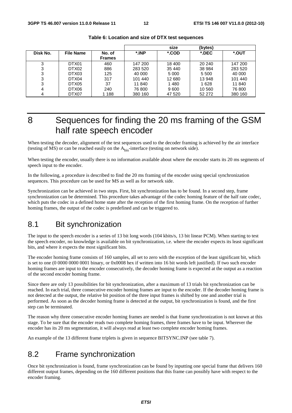|          |                  |               |         | size    | (bytes) |         |
|----------|------------------|---------------|---------|---------|---------|---------|
| Disk No. | <b>File Name</b> | No. of        | *.INP   | *.COD   | *.DEC   | *.OUT   |
|          |                  | <b>Frames</b> |         |         |         |         |
| 3        | DTX01            | 460           | 147 200 | 18 400  | 20 240  | 147 200 |
| 3        | DTX02            | 886           | 283 520 | 35 440  | 38 984  | 283 520 |
| 3        | DTX03            | 125           | 40 000  | 5 0 0 0 | 5 500   | 40 000  |
| 3        | DTX04            | 317           | 101 440 | 12 680  | 13 948  | 101 440 |
| 3        | DTX05            | 37            | 11 840  | 1480    | 1628    | 11 840  |
|          | DTX06            | 240           | 76 800  | 9600    | 10 560  | 76 800  |
|          | DTX07            | 1 1 8 8       | 380 160 | 47 520  | 52 272  | 380 160 |

#### **Table 6: Location and size of DTX test sequences**

## 8 Sequences for finding the 20 ms framing of the GSM half rate speech encoder

When testing the decoder, alignment of the test sequences used to the decoder framing is achieved by the air interface (testing of MS) or can be reached easily on the  $A_{\text{his}}$ -interface (testing on network side).

When testing the encoder, usually there is no information available about where the encoder starts its 20 ms segments of speech input to the encoder.

In the following, a procedure is described to find the 20 ms framing of the encoder using special synchronization sequences. This procedure can be used for MS as well as for network side.

Synchronization can be achieved in two steps. First, bit synchronization has to be found. In a second step, frame synchronization can be determined. This procedure takes advantage of the codec homing feature of the half rate codec, which puts the codec in a defined home state after the reception of the first homing frame. On the reception of further homing frames, the output of the codec is predefined and can be triggered to.

## 8.1 Bit synchronization

The input to the speech encoder is a series of 13 bit long words (104 kbits/s, 13 bit linear PCM). When starting to test the speech encoder, no knowledge is available on bit synchronization, i.e. where the encoder expects its least significant bits, and where it expects the most significant bits.

The encoder homing frame consists of 160 samples, all set to zero with the exception of the least significant bit, which is set to one (0 0000 0000 0001 binary, or 0x0008 hex if written into 16 bit words left justified). If two such encoder homing frames are input to the encoder consecutively, the decoder homing frame is expected at the output as a reaction of the second encoder homing frame.

Since there are only 13 possibilities for bit synchronization, after a maximum of 13 trials bit synchronization can be reached. In each trial, three consecutive encoder homing frames are input to the encoder. If the decoder homing frame is not detected at the output, the relative bit position of the three input frames is shifted by one and another trial is performed. As soon as the decoder homing frame is detected at the output, bit synchronization is found, and the first step can be terminated.

The reason why three consecutive encoder homing frames are needed is that frame synchronization is not known at this stage. To be sure that the encoder reads two complete homing frames, three frames have to be input. Wherever the encoder has its 20 ms segmentation, it will always read at least two complete encoder homing frames.

An example of the 13 different frame triplets is given in sequence BITSYNC.INP (see table 7).

## 8.2 Frame synchronization

Once bit synchronization is found, frame synchronization can be found by inputting one special frame that delivers 160 different output frames, depending on the 160 different positions that this frame can possibly have with respect to the encoder framing.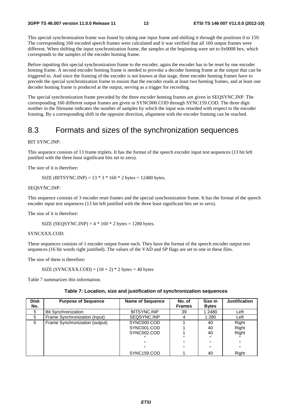This special synchronization frame was found by taking one input frame and shifting it through the positions 0 to 159. The corresponding 160 encoded speech frames were calculated and it was verified that all 160 output frames were different. When shifting the input synchronization frame, the samples at the beginning were set to 0x0008 hex, which corresponds to the samples of the encoder homing frame.

Before inputting this special synchronization frame to the encoder, again the encoder has to be reset by one encoder homing frame. A second encoder homing frame is needed to provoke a decoder homing frame at the output that can be triggered to. And since the framing of the encoder is not known at that stage, three encoder homing frames have to precede the special synchronization frame to ensure that the encoder reads at least two homing frames, and at least one decoder homing frame is produced at the output, serving as a trigger for recording.

The special synchronization frame preceded by the three encoder homing frames are given in SEQSYNC.INP. The corresponding 160 different output frames are given in SYNC000.COD through SYNC159.COD. The three digit number in the filename indicates the number of samples by which the input was retarded with respect to the encoder framing. By a corresponding shift in the opposite direction, alignment with the encoder framing can be reached.

## 8.3 Formats and sizes of the synchronization sequences

#### BIT SYNC.INP:

This sequence consists of 13 frame triplets. It has the format of the speech encoder input test sequences (13 bit left justified with the three least significant bits set to zero).

The size of it is therefore:

SIZE (BITSYNC.INP) =  $13 * 3 * 160 * 2$  bytes = 12480 bytes.

#### SEQSYNC.INP:

This sequence consists of 3 encoder reset frames and the special synchronization frame. It has the format of the speech encoder input test sequences (13 bit left justified with the three least significant bits set to zero).

The size of it is therefore:

SIZE (SEQSYNC.INP) =  $4 * 160 * 2$  bytes = 1280 bytes.

#### SYNCXXX.COD:

These sequences consists of 1 encoder output frame each. They have the format of the speech encoder output test sequences (16 bit words right justified). The values of the VAD and SP flags are set to one in these files.

The size of them is therefore:

SIZE (SYNCXXX.COD) =  $(18 + 2)$  \* 2 bytes = 40 bytes

Table 7 summarizes this information.

| <b>Disk</b><br>No. | <b>Purpose of Sequence</b>     | <b>Name of Sequence</b> | No. of<br><b>Frames</b> | Size in<br><b>Bytes</b> | <b>Justification</b> |
|--------------------|--------------------------------|-------------------------|-------------------------|-------------------------|----------------------|
| 5                  | <b>Bit Synchronization</b>     | BITSYNC.INP             | 39                      | 1 2480                  | Left                 |
| 5                  | Frame Synchronization (input)  | SEQSYNC.INP             |                         | 1 280                   | Left                 |
| 5                  | Frame Synchronization (output) | SYNC000.COD             |                         | 40                      | Right                |
|                    |                                | SYNC001.COD             |                         | 40                      | Right                |
|                    |                                | SYNC002.COD             |                         | 40                      | Right                |
|                    |                                |                         |                         |                         |                      |
|                    |                                | $\mathbf{H}$            |                         |                         | $\mathbf{u}$         |
|                    |                                | $\mathbf{u}$            | $\mathbf{u}$            | $\mathbf{u}$            | $\mathbf{u}$         |
|                    |                                | SYNC159.COD             |                         | 40                      | Right                |

#### **Table 7: Location, size and justification of synchronization sequences**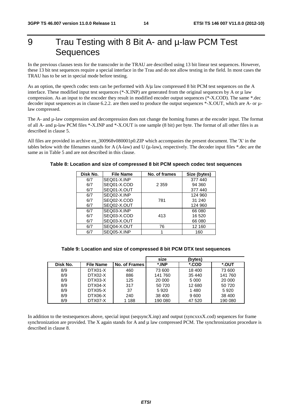## 9 Trau Testing with 8 Bit A- and u-law PCM Test **Sequences**

In the previous clauses tests for the transcoder in the TRAU are described using 13 bit linear test sequences. However, these 13 bit test sequences require a special interface in the Trau and do not allow testing in the field. In most cases the TRAU has to be set in special mode before testing.

As an option, the speech codec tests can be performed with  $A/\mu$  law compressed 8 bit PCM test sequences on the A interface. These modified input test sequences (\*-X.INP) are generated from the original sequences by A or μ law compression. As an input to the encoder they result in modified encoder output sequences (\*-X.COD). The same \*.dec decoder input sequences as in clause 6.2.2. are then used to produce the output sequences \*-X.OUT, which are A- or  $\mu$ law compressed.

The A- and µ-law compression and decompression does not change the homing frames at the encoder input. The format of all A- and μ-law PCM files \*-X.INP and \*-X.OUT is one sample (8 bit) per byte. The format of all other files is as described in clause 5.

All files are provided in archive en\_300968v080001p0.ZIP which accompanies the present document. The 'X' in the tables below with the filenames stands for A (A-law) and U (μ-law), respectively. The decoder input files \*.dec are the same as in Table 5 and are not described in this clause.

#### **Disk No. File Name No. of frames Size (bytes)** 6/7 6/7 6/7 SEQ01-X.INP SEQ01-X.COD SEQ01-X.OUT 2 359 377 440 94 360 377 440 6/7 6/7 6/7 SEQ02-X.INP SEQ02-X.COD SEQ02-X.OUT 781 124 960 31 240 124 960 6/7 6/7 6/7 SEQ03-X.INP SEQ03-X.COD SEQ03-X.OUT 413 66 080 16 520 66 080 6/7 | SEQ04-X.OUT | 76 | 12 160 6/7 | SEQ05-X.INP | 1 1 | 160

#### **Table 8: Location and size of compressed 8 bit PCM speech codec test sequences**

|          |                  |               | size    | (bytes) |         |
|----------|------------------|---------------|---------|---------|---------|
| Disk No. | <b>File Name</b> | No. of Frames | *.INP   | *.COD   | *.OUT   |
| 8/9      | DTX01-X          | 460           | 73 600  | 18 400  | 73 600  |
| 8/9      | DTX02-X          | 886           | 141 760 | 35 440  | 141 760 |
| 8/9      | DTX03-X          | 125           | 20 000  | 5 0 0 0 | 20 000  |
| 8/9      | DTX04-X          | 317           | 50 720  | 12 680  | 50 720  |
| 8/9      | DTX05-X          | 37            | 5920    | 1480    | 5920    |
| 8/9      | DTX06-X          | 240           | 38 400  | 9600    | 38 400  |
| 8/9      | DTX07-X          | 1 1 8 8       | 190 080 | 47 520  | 190 080 |

In addition to the testsequences above, special input (seqsyncX.inp) and output (syncxxxX.cod) sequences for frame synchronization are provided. The X again stands for A and μ law compressed PCM. The synchronization procedure is described in clause 8.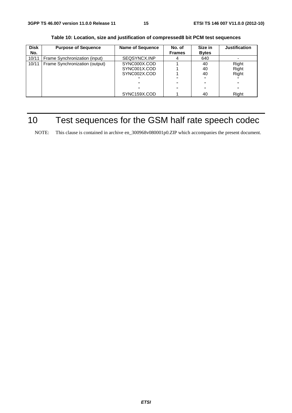| <b>Disk</b> | <b>Purpose of Sequence</b>     | <b>Name of Sequence</b> | No. of        | Size in      | <b>Justification</b> |
|-------------|--------------------------------|-------------------------|---------------|--------------|----------------------|
| No.         |                                |                         | <b>Frames</b> | <b>Bytes</b> |                      |
| 10/11       | Frame Synchronization (input)  | SEQSYNCX.INP            |               | 640          |                      |
| 10/11       | Frame Synchronization (output) | SYNC000X.COD            |               | 40           | Right                |
|             |                                | SYNC001X.COD            |               | 40           | Right                |
|             |                                | SYNC002X.COD            |               | 40           | Right                |
|             |                                | $\mathbf{u}$            | $\mathbf{u}$  |              |                      |
|             |                                | $\mathbf{u}$            | $\mathbf{u}$  | $\mathbf{u}$ | $\mathbf{H}$         |
|             |                                | $\mathbf{u}$            | $\mathbf{u}$  | $\mathbf{u}$ | $\mathbf{H}$         |
|             |                                | SYNC159X.COD            |               | 40           | Right                |

**Table 10: Location, size and justification of compressed8 bit PCM test sequences** 

## 10 Test sequences for the GSM half rate speech codec

NOTE: This clause is contained in archive en\_300968v080001p0.ZIP which accompanies the present document.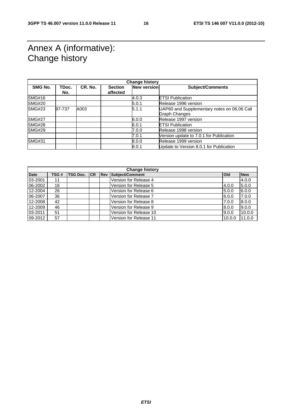## Annex A (informative): Change history

| <b>Change history</b> |              |         |                            |             |                                                              |
|-----------------------|--------------|---------|----------------------------|-------------|--------------------------------------------------------------|
| SMG No.               | TDoc.<br>No. | CR. No. | <b>Section</b><br>affected | New version | <b>Subject/Comments</b>                                      |
| <b>SMG#16</b>         |              |         |                            | 4.0.3       | <b>ETSI Publication</b>                                      |
| <b>SMG#20</b>         |              |         |                            | 5.0.1       | Release 1996 version                                         |
| <b>SMG#23</b>         | 97-737       | A003    |                            | 5.1.1       | UAP60 and Supplementary notes on 06.06 Call<br>Graph Changes |
| <b>SMG#27</b>         |              |         |                            | 6.0.0       | Release 1997 version                                         |
| <b>SMG#28</b>         |              |         |                            | 6.0.1       | <b>ETSI Publication</b>                                      |
| <b>SMG#29</b>         |              |         |                            | 7.0.0       | Release 1998 version                                         |
|                       |              |         |                            | 7.0.1       | Version update to 7.0.1 for Publication                      |
| <b>SMG#31</b>         |              |         |                            | 8.0.0       | Release 1999 version                                         |
|                       |              |         |                            | 8.0.1       | Update to Version 8.0.1 for Publication                      |

| <b>Change history</b> |       |                 |    |            |                        |            |            |
|-----------------------|-------|-----------------|----|------------|------------------------|------------|------------|
| <b>Date</b>           | TSG # | <b>TSG Doc.</b> | CR | <b>Rev</b> | Subject/Comment        | <b>Old</b> | <b>New</b> |
| 03-2001               | 11    |                 |    |            | Version for Release 4  |            | 4.0.0      |
| 06-2002               | 16    |                 |    |            | Version for Release 5  | 4.0.0      | 5.0.0      |
| 12-2004               | 26    |                 |    |            | Version for Release 6  | 5.0.0      | 6.0.0      |
| 06-2007               | 36    |                 |    |            | Version for Release 7  | 6.0.0      | 7.0.0      |
| 12-2008               | 42    |                 |    |            | Version for Release 8  | 7.0.0      | 8.0.0      |
| 12-2009               | 46    |                 |    |            | Version for Release 9  | 8.0.0      | 9.0.0      |
| 03-2011               | 51    |                 |    |            | Version for Release 10 | 9.0.0      | 10.0.0     |
| 09-2012               | 57    |                 |    |            | Version for Release 11 | 10.0.0     | 11.0.0     |